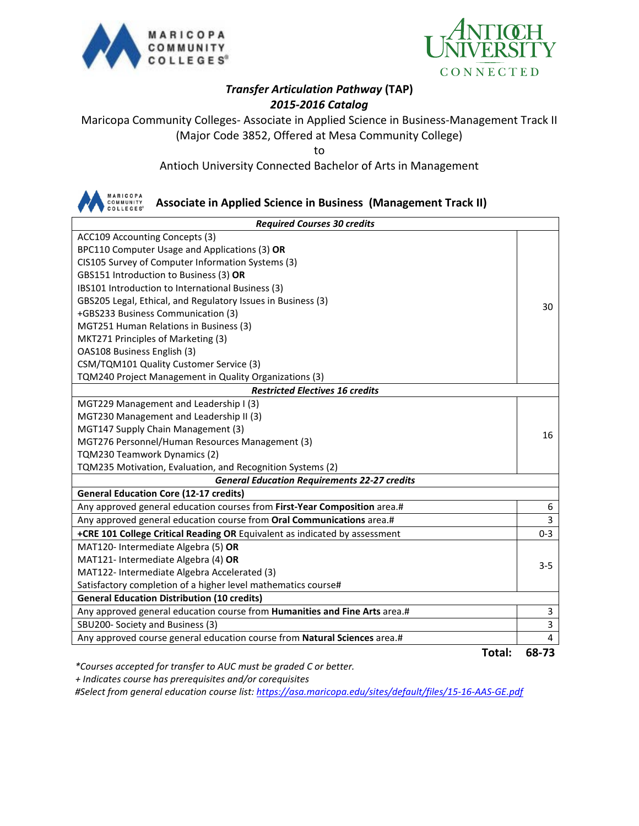



### *Transfer Articulation Pathway* **(TAP)** *2015-2016 Catalog*

Maricopa Community Colleges- Associate in Applied Science in Business-Management Track II (Major Code 3852, Offered at Mesa Community College)

to

Antioch University Connected Bachelor of Arts in Management



**Associate in Applied Science in Business (Management Track II)**

| <b>Required Courses 30 credits</b>                                             |             |  |  |
|--------------------------------------------------------------------------------|-------------|--|--|
| ACC109 Accounting Concepts (3)                                                 |             |  |  |
| BPC110 Computer Usage and Applications (3) OR                                  |             |  |  |
| CIS105 Survey of Computer Information Systems (3)                              |             |  |  |
| GBS151 Introduction to Business (3) OR                                         |             |  |  |
| IBS101 Introduction to International Business (3)                              |             |  |  |
| GBS205 Legal, Ethical, and Regulatory Issues in Business (3)                   | 30          |  |  |
| +GBS233 Business Communication (3)                                             |             |  |  |
| MGT251 Human Relations in Business (3)                                         |             |  |  |
| MKT271 Principles of Marketing (3)                                             |             |  |  |
| OAS108 Business English (3)                                                    |             |  |  |
| CSM/TQM101 Quality Customer Service (3)                                        |             |  |  |
| TQM240 Project Management in Quality Organizations (3)                         |             |  |  |
| <b>Restricted Electives 16 credits</b>                                         |             |  |  |
| MGT229 Management and Leadership I (3)                                         |             |  |  |
| MGT230 Management and Leadership II (3)                                        |             |  |  |
| MGT147 Supply Chain Management (3)                                             | 16          |  |  |
| MGT276 Personnel/Human Resources Management (3)                                |             |  |  |
| TQM230 Teamwork Dynamics (2)                                                   |             |  |  |
| TQM235 Motivation, Evaluation, and Recognition Systems (2)                     |             |  |  |
| <b>General Education Requirements 22-27 credits</b>                            |             |  |  |
| <b>General Education Core (12-17 credits)</b>                                  |             |  |  |
| Any approved general education courses from First-Year Composition area.#      | 6           |  |  |
| Any approved general education course from Oral Communications area.#          | 3           |  |  |
| +CRE 101 College Critical Reading OR Equivalent as indicated by assessment     | $0 - 3$     |  |  |
| MAT120- Intermediate Algebra (5) OR                                            |             |  |  |
| MAT121- Intermediate Algebra (4) OR                                            | $3 - 5$     |  |  |
| MAT122- Intermediate Algebra Accelerated (3)                                   |             |  |  |
| Satisfactory completion of a higher level mathematics course#                  |             |  |  |
| <b>General Education Distribution (10 credits)</b>                             |             |  |  |
| Any approved general education course from Humanities and Fine Arts area.#     | 3           |  |  |
| SBU200- Society and Business (3)                                               | $\mathsf 3$ |  |  |
| Any approved course general education course from Natural Sciences area.#<br>- | 4           |  |  |

**Total: 68-73**

*\*Courses accepted for transfer to AUC must be graded C or better.*

 *+ Indicates course has prerequisites and/or corequisites*

*#Select from general education course list:<https://asa.maricopa.edu/sites/default/files/15-16-AAS-GE.pdf>*